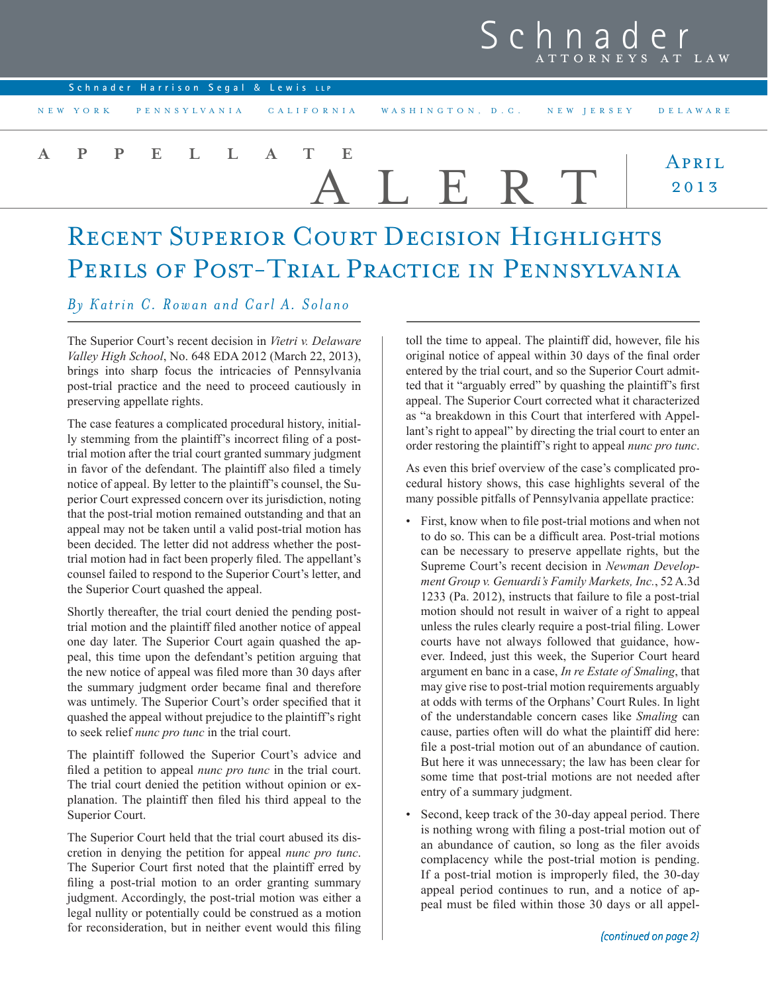## Sch ATTORNEYS AT LAW

| Schnader Harrison Segal & Lewis LLP                                   |        |               |
|-----------------------------------------------------------------------|--------|---------------|
| NEW YORK PENNSYLVANIA CALIFORNIA WASHINGTON, D.C. NEW JERSEY DELAWARE |        |               |
| A P P E L L A T E                                                     | ALERT. | APRIL<br>2013 |

## RECENT SUPERIOR COURT DECISION HIGHLIGHTS PERILS OF POST-TRIAL PRACTICE IN PENNSYLVANIA

## *By Katrin C. Rowan and Carl A. Solano*

The Superior Court's recent decision in *Vietri v. Delaware Valley High School*, No. 648 EDA 2012 (March 22, 2013), brings into sharp focus the intricacies of Pennsylvania post-trial practice and the need to proceed cautiously in preserving appellate rights.

The case features a complicated procedural history, initially stemming from the plaintiff's incorrect filing of a posttrial motion after the trial court granted summary judgment in favor of the defendant. The plaintiff also filed a timely notice of appeal. By letter to the plaintiff's counsel, the Superior Court expressed concern over its jurisdiction, noting that the post-trial motion remained outstanding and that an appeal may not be taken until a valid post-trial motion has been decided. The letter did not address whether the posttrial motion had in fact been properly filed. The appellant's counsel failed to respond to the Superior Court's letter, and the Superior Court quashed the appeal.

Shortly thereafter, the trial court denied the pending posttrial motion and the plaintiff filed another notice of appeal one day later. The Superior Court again quashed the appeal, this time upon the defendant's petition arguing that the new notice of appeal was filed more than 30 days after the summary judgment order became final and therefore was untimely. The Superior Court's order specified that it quashed the appeal without prejudice to the plaintiff's right to seek relief *nunc pro tunc* in the trial court.

The plaintiff followed the Superior Court's advice and filed a petition to appeal *nunc pro tunc* in the trial court. The trial court denied the petition without opinion or explanation. The plaintiff then filed his third appeal to the Superior Court.

The Superior Court held that the trial court abused its discretion in denying the petition for appeal *nunc pro tunc*. The Superior Court first noted that the plaintiff erred by filing a post-trial motion to an order granting summary judgment. Accordingly, the post-trial motion was either a legal nullity or potentially could be construed as a motion for reconsideration, but in neither event would this filing

toll the time to appeal. The plaintiff did, however, file his original notice of appeal within 30 days of the final order entered by the trial court, and so the Superior Court admitted that it "arguably erred" by quashing the plaintiff's first appeal. The Superior Court corrected what it characterized as "a breakdown in this Court that interfered with Appellant's right to appeal" by directing the trial court to enter an order restoring the plaintiff's right to appeal *nunc pro tunc*.

As even this brief overview of the case's complicated procedural history shows, this case highlights several of the many possible pitfalls of Pennsylvania appellate practice:

- First, know when to file post-trial motions and when not to do so. This can be a difficult area. Post-trial motions can be necessary to preserve appellate rights, but the Supreme Court's recent decision in *Newman Development Group v. Genuardi's Family Markets, Inc.*, 52 A.3d 1233 (Pa. 2012), instructs that failure to file a post-trial motion should not result in waiver of a right to appeal unless the rules clearly require a post-trial filing. Lower courts have not always followed that guidance, however. Indeed, just this week, the Superior Court heard argument en banc in a case, *In re Estate of Smaling*, that may give rise to post-trial motion requirements arguably at odds with terms of the Orphans' Court Rules. In light of the understandable concern cases like *Smaling* can cause, parties often will do what the plaintiff did here: file a post-trial motion out of an abundance of caution. But here it was unnecessary; the law has been clear for some time that post-trial motions are not needed after entry of a summary judgment.
- Second, keep track of the 30-day appeal period. There is nothing wrong with filing a post-trial motion out of an abundance of caution, so long as the filer avoids complacency while the post-trial motion is pending. If a post-trial motion is improperly filed, the 30-day appeal period continues to run, and a notice of appeal must be filed within those 30 days or all appel-